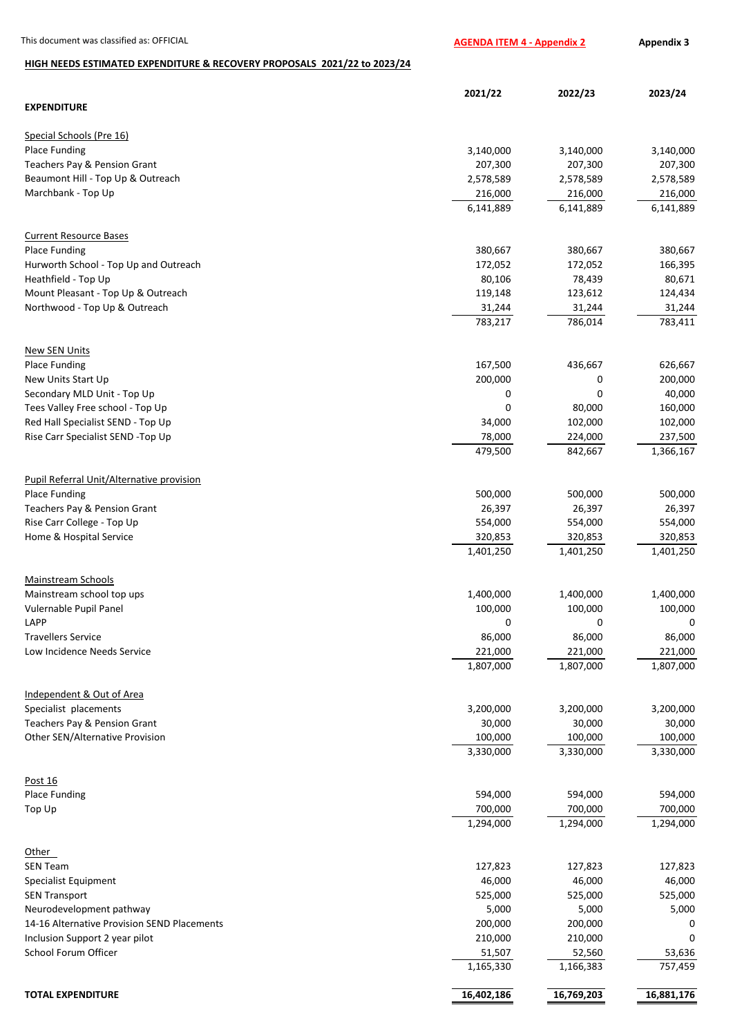## **HIGH NEEDS ESTIMATED EXPENDITURE & RECOVERY PROPOSALS 2021/22 to 2023/24**

|                                              | 2021/22    | 2022/23    | 2023/24    |
|----------------------------------------------|------------|------------|------------|
| <b>EXPENDITURE</b>                           |            |            |            |
| Special Schools (Pre 16)                     |            |            |            |
| <b>Place Funding</b>                         | 3,140,000  | 3,140,000  | 3,140,000  |
| Teachers Pay & Pension Grant                 | 207,300    | 207,300    | 207,300    |
| Beaumont Hill - Top Up & Outreach            | 2,578,589  | 2,578,589  | 2,578,589  |
| Marchbank - Top Up                           | 216,000    | 216,000    | 216,000    |
|                                              | 6,141,889  | 6,141,889  | 6,141,889  |
| <b>Current Resource Bases</b>                |            |            |            |
| <b>Place Funding</b>                         | 380,667    | 380,667    | 380,667    |
| Hurworth School - Top Up and Outreach        | 172,052    | 172,052    | 166,395    |
| Heathfield - Top Up                          | 80,106     | 78,439     | 80,671     |
| Mount Pleasant - Top Up & Outreach           | 119,148    | 123,612    | 124,434    |
| Northwood - Top Up & Outreach                | 31,244     | 31,244     | 31,244     |
|                                              | 783,217    | 786,014    | 783,411    |
|                                              |            |            |            |
| <b>New SEN Units</b><br><b>Place Funding</b> | 167,500    | 436,667    | 626,667    |
| New Units Start Up                           | 200,000    | 0          | 200,000    |
| Secondary MLD Unit - Top Up                  | 0          | 0          | 40,000     |
| Tees Valley Free school - Top Up             | 0          | 80,000     | 160,000    |
| Red Hall Specialist SEND - Top Up            | 34,000     | 102,000    | 102,000    |
| Rise Carr Specialist SEND -Top Up            | 78,000     | 224,000    | 237,500    |
|                                              | 479,500    | 842,667    | 1,366,167  |
|                                              |            |            |            |
| Pupil Referral Unit/Alternative provision    |            |            |            |
| <b>Place Funding</b>                         | 500,000    | 500,000    | 500,000    |
| Teachers Pay & Pension Grant                 | 26,397     | 26,397     | 26,397     |
| Rise Carr College - Top Up                   | 554,000    | 554,000    | 554,000    |
| Home & Hospital Service                      | 320,853    | 320,853    | 320,853    |
|                                              | 1,401,250  | 1,401,250  | 1,401,250  |
| <b>Mainstream Schools</b>                    |            |            |            |
| Mainstream school top ups                    | 1,400,000  | 1,400,000  | 1,400,000  |
| Vulernable Pupil Panel                       | 100,000    | 100,000    | 100,000    |
| LAPP                                         | 0          | 0          | 0          |
| <b>Travellers Service</b>                    | 86,000     | 86,000     | 86,000     |
| Low Incidence Needs Service                  | 221,000    | 221,000    | 221,000    |
|                                              | 1,807,000  | 1,807,000  | 1,807,000  |
| Independent & Out of Area                    |            |            |            |
| Specialist placements                        | 3,200,000  | 3,200,000  | 3,200,000  |
| Teachers Pay & Pension Grant                 | 30,000     | 30,000     | 30,000     |
| Other SEN/Alternative Provision              | 100,000    | 100,000    | 100,000    |
|                                              | 3,330,000  | 3,330,000  | 3,330,000  |
| Post 16                                      |            |            |            |
| <b>Place Funding</b>                         | 594,000    | 594,000    | 594,000    |
| Top Up                                       | 700,000    | 700,000    | 700,000    |
|                                              | 1,294,000  | 1,294,000  | 1,294,000  |
|                                              |            |            |            |
| Other                                        |            |            |            |
| <b>SEN Team</b>                              | 127,823    | 127,823    | 127,823    |
| <b>Specialist Equipment</b>                  | 46,000     | 46,000     | 46,000     |
| <b>SEN Transport</b>                         | 525,000    | 525,000    | 525,000    |
| Neurodevelopment pathway                     | 5,000      | 5,000      | 5,000      |
| 14-16 Alternative Provision SEND Placements  | 200,000    | 200,000    | 0          |
| Inclusion Support 2 year pilot               | 210,000    | 210,000    | 0          |
| School Forum Officer                         | 51,507     | 52,560     | 53,636     |
|                                              | 1,165,330  | 1,166,383  | 757,459    |
| <b>TOTAL EXPENDITURE</b>                     | 16,402,186 | 16,769,203 | 16,881,176 |